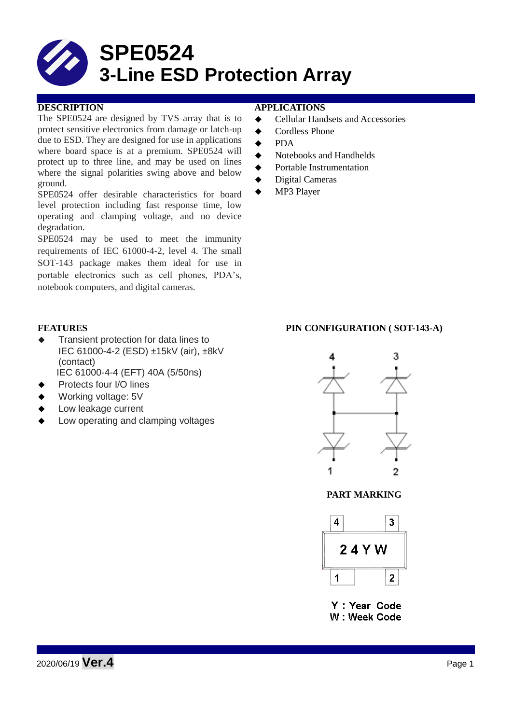

The SPE0524 are designed by TVS array that is to protect sensitive electronics from damage or latch-up due to ESD. They are designed for use in applications where board space is at a premium. SPE0524 will protect up to three line, and may be used on lines where the signal polarities swing above and below ground.

SPE0524 offer desirable characteristics for board level protection including fast response time, low operating and clamping voltage, and no device degradation.

SPE0524 may be used to meet the immunity requirements of IEC 61000-4-2, level 4. The small SOT-143 package makes them ideal for use in portable electronics such as cell phones, PDA's, notebook computers, and digital cameras.

- Transient protection for data lines to IEC 61000-4-2 (ESD) ±15kV (air), ±8kV (contact)
- IEC 61000-4-4 (EFT) 40A (5/50ns)
- Protects four I/O lines
- Working voltage: 5V
- Low leakage current
- Low operating and clamping voltages

## **DESCRIPTION APPLICATIONS**

- **←** Cellular Handsets and Accessories
- ◆ Cordless Phone
- $\triangle$  PDA
- Notebooks and Handhelds
- Portable Instrumentation
- Digital Cameras
- MP3 Player

### **FEATURES PIN CONFIGURATION ( SOT-143-A)**



**PART MARKING**



Y : Year Code W: Week Code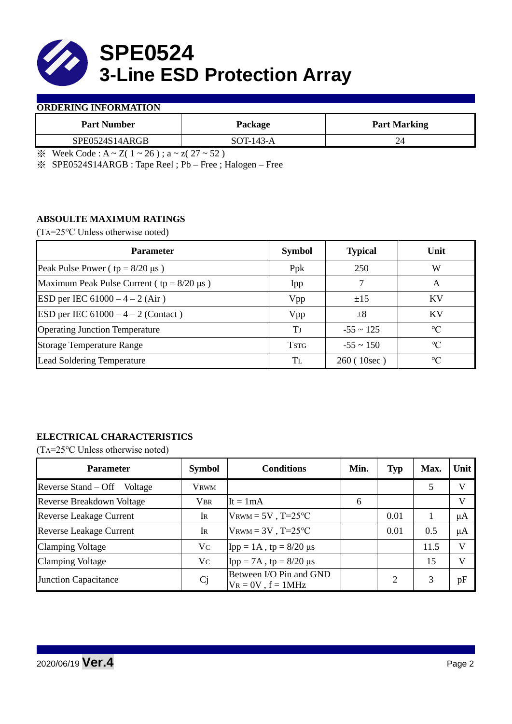

### **ORDERING INFORMATION**

| <b>Part Number</b> | Package     | <b>Part Marking</b> |  |  |
|--------------------|-------------|---------------------|--|--|
| SPE0524S14ARGB     | $SOT-143-A$ |                     |  |  |
| __ _ _ .           | .<br>___    |                     |  |  |

 $\frac{1}{2}$  Week Code : A ~ Z( 1 ~ 26); a ~ z( 27 ~ 52)

※ SPE0524S14ARGB : Tape Reel ; Pb – Free ; Halogen – Free

## **ABSOULTE MAXIMUM RATINGS**

(TA=25℃ Unless otherwise noted)

| <b>Parameter</b>                                 | <b>Symbol</b> | <b>Typical</b> | Unit            |  |
|--------------------------------------------------|---------------|----------------|-----------------|--|
| Peak Pulse Power ( $tp = 8/20 \mu s$ )           | Ppk           | 250            | W               |  |
| Maximum Peak Pulse Current ( $tp = 8/20 \mu s$ ) | Ipp           |                | A               |  |
| ESD per IEC $61000 - 4 - 2$ (Air)                | Vpp           | ±15            | <b>KV</b>       |  |
| <b>ESD</b> per IEC $61000 - 4 - 2$ (Contact)     | Vpp           | $\pm 8$        | KV              |  |
| <b>Operating Junction Temperature</b>            | Tі            | $-55 \sim 125$ | $\rm ^{\circ}C$ |  |
| <b>Storage Temperature Range</b>                 | <b>TSTG</b>   | $-55 \sim 150$ | $\rm ^{\circ}C$ |  |
| Lead Soldering Temperature                       | Tī.           | 260(10sec)     | $\rm ^{\circ}C$ |  |

# **ELECTRICAL CHARACTERISTICS**

(TA=25℃ Unless otherwise noted)

| <b>Parameter</b>                 | <b>Symbol</b> | <b>Conditions</b>                                  | Min. | <b>Typ</b> | Max. | Unit         |
|----------------------------------|---------------|----------------------------------------------------|------|------------|------|--------------|
| Reverse Stand – Off<br>Voltage   | <b>VRWM</b>   |                                                    |      |            |      | V            |
| <b>Reverse Breakdown Voltage</b> | <b>VBR</b>    | It = $1mA$                                         | 6    |            |      | $\mathbf{V}$ |
| <b>Reverse Leakage Current</b>   | IR            | $V_{\text{RWM}} = 5V$ , T=25°C                     |      | 0.01       |      | μA           |
| <b>Reverse Leakage Current</b>   | IR            | $V_{\text{RWM}} = 3V$ , T=25°C                     |      | 0.01       | 0.5  | μA           |
| <b>Clamping Voltage</b>          | Vc            | Ipp = $1A$ , tp = $8/20 \mu s$                     |      |            | 11.5 | V            |
| <b>Clamping Voltage</b>          | Vc            | Ipp = $7A$ , tp = $8/20 \mu s$                     |      |            | 15   | $\mathbf{V}$ |
| <b>Junction Capacitance</b>      | Cj            | Between I/O Pin and GND<br>$V_R = 0V$ , $f = 1MHz$ |      |            |      | pF           |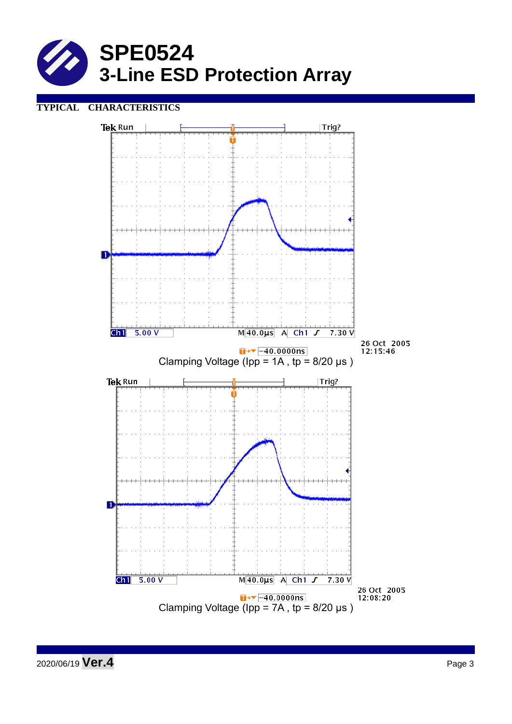

## **TYPICAL CHARACTERISTICS**

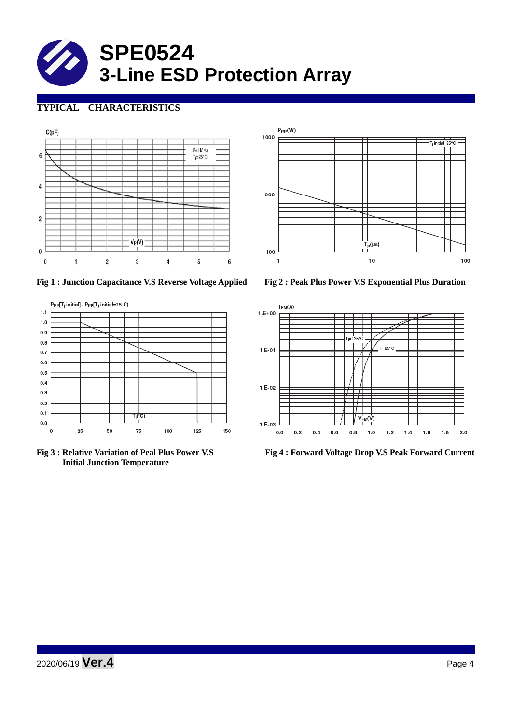

# **TYPICAL CHARACTERISTICS**





**Fig 1 : Junction Capacitance V.S Reverse Voltage Applied Fig 2 : Peak Plus Power V.S Exponential Plus Duration**



 **Initial Junction Temperature** 



**Fig 3 : Relative Variation of Peal Plus Power V.S Fig 4 : Forward Voltage Drop V.S Peak Forward Current**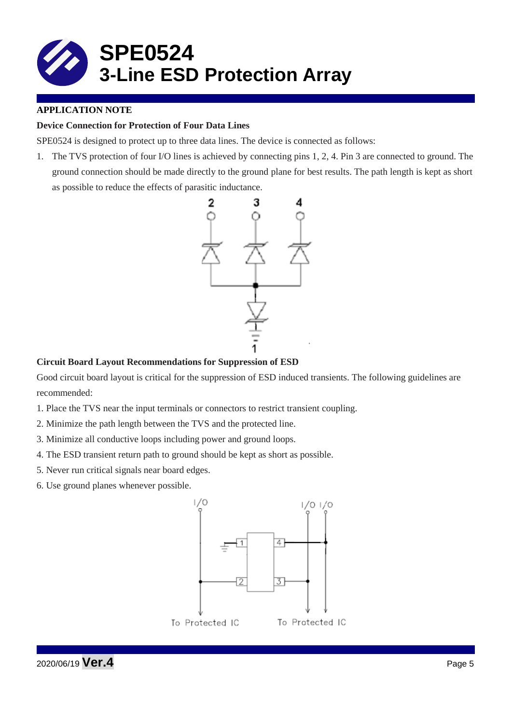

## **APPLICATION NOTE**

## **Device Connection for Protection of Four Data Lines**

SPE0524 is designed to protect up to three data lines. The device is connected as follows:

1. The TVS protection of four I/O lines is achieved by connecting pins 1, 2, 4. Pin 3 are connected to ground. The ground connection should be made directly to the ground plane for best results. The path length is kept as short as possible to reduce the effects of parasitic inductance.



## **Circuit Board Layout Recommendations for Suppression of ESD**

Good circuit board layout is critical for the suppression of ESD induced transients. The following guidelines are recommended:

- 1. Place the TVS near the input terminals or connectors to restrict transient coupling.
- 2. Minimize the path length between the TVS and the protected line.
- 3. Minimize all conductive loops including power and ground loops.
- 4. The ESD transient return path to ground should be kept as short as possible.
- 5. Never run critical signals near board edges.
- 6. Use ground planes whenever possible.